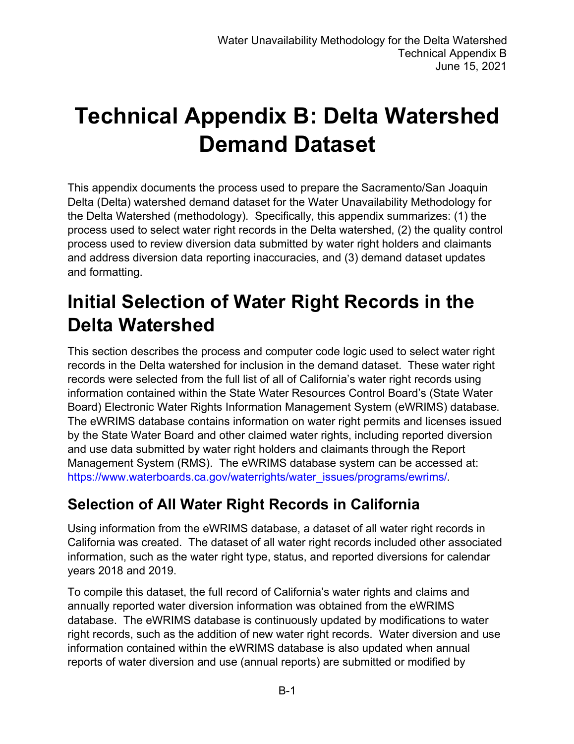# **Technical Appendix B: Delta Watershed Demand Dataset**

This appendix documents the process used to prepare the Sacramento/San Joaquin Delta (Delta) watershed demand dataset for the Water Unavailability Methodology for the Delta Watershed (methodology). Specifically, this appendix summarizes: (1) the process used to select water right records in the Delta watershed, (2) the quality control process used to review diversion data submitted by water right holders and claimants and address diversion data reporting inaccuracies, and (3) demand dataset updates and formatting.

## **Initial Selection of Water Right Records in the Delta Watershed**

This section describes the process and computer code logic used to select water right records in the Delta watershed for inclusion in the demand dataset. These water right records were selected from the full list of all of California's water right records using information contained within the State Water Resources Control Board's (State Water Board) Electronic Water Rights Information Management System (eWRIMS) database. The eWRIMS database contains information on water right permits and licenses issued by the State Water Board and other claimed water rights, including reported diversion and use data submitted by water right holders and claimants through the Report Management System (RMS). The eWRIMS database system can be accessed at: [https://www.waterboards.ca.gov/waterrights/water\\_issues/programs/ewrims/](https://www.waterboards.ca.gov/waterrights/water_issues/programs/ewrims/).

## **Selection of All Water Right Records in California**

Using information from the eWRIMS database, a dataset of all water right records in California was created. The dataset of all water right records included other associated information, such as the water right type, status, and reported diversions for calendar years 2018 and 2019.

To compile this dataset, the full record of California's water rights and claims and annually reported water diversion information was obtained from the eWRIMS database. The eWRIMS database is continuously updated by modifications to water right records, such as the addition of new water right records. Water diversion and use information contained within the eWRIMS database is also updated when annual reports of water diversion and use (annual reports) are submitted or modified by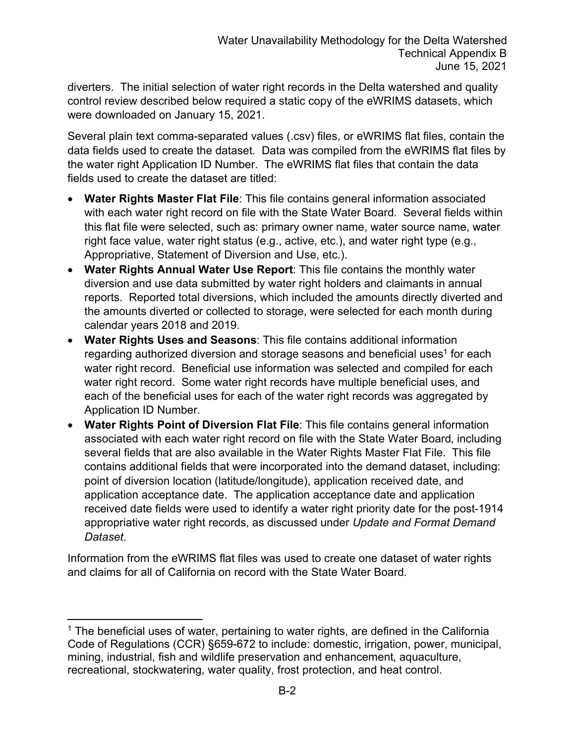diverters. The initial selection of water right records in the Delta watershed and quality control review described below required a static copy of the eWRIMS datasets, which were downloaded on January 15, 2021.

Several plain text comma-separated values (.csv) files, or eWRIMS flat files, contain the data fields used to create the dataset. Data was compiled from the eWRIMS flat files by the water right Application ID Number. The eWRIMS flat files that contain the data fields used to create the dataset are titled:

- · **Water Rights Master Flat File**: This file contains general information associated with each water right record on file with the State Water Board. Several fields within this flat file were selected, such as: primary owner name, water source name, water right face value, water right status (e.g., active, etc.), and water right type (e.g., Appropriative, Statement of Diversion and Use, etc.).
- · **Water Rights Annual Water Use Report**: This file contains the monthly water diversion and use data submitted by water right holders and claimants in annual reports. Reported total diversions, which included the amounts directly diverted and the amounts diverted or collected to storage, were selected for each month during calendar years 2018 and 2019.
- · **Water Rights Uses and Seasons**: This file contains additional information regarding authorized diversion and storage seasons and beneficial uses $^{\rm 1}$  $^{\rm 1}$  $^{\rm 1}$  for each water right record. Beneficial use information was selected and compiled for each water right record. Some water right records have multiple beneficial uses, and each of the beneficial uses for each of the water right records was aggregated by Application ID Number.
- · **Water Rights Point of Diversion Flat File**: This file contains general information associated with each water right record on file with the State Water Board, including several fields that are also available in the Water Rights Master Flat File. This file contains additional fields that were incorporated into the demand dataset, including: point of diversion location (latitude/longitude), application received date, and application acceptance date. The application acceptance date and application received date fields were used to identify a water right priority date for the post-1914 appropriative water right records, as discussed under *Update and Format Demand Dataset*.

Information from the eWRIMS flat files was used to create one dataset of water rights and claims for all of California on record with the State Water Board.

<span id="page-1-0"></span> $1$  The beneficial uses of water, pertaining to water rights, are defined in the California Code of Regulations (CCR) §659-672 to include: domestic, irrigation, power, municipal, mining, industrial, fish and wildlife preservation and enhancement, aquaculture, recreational, stockwatering, water quality, frost protection, and heat control.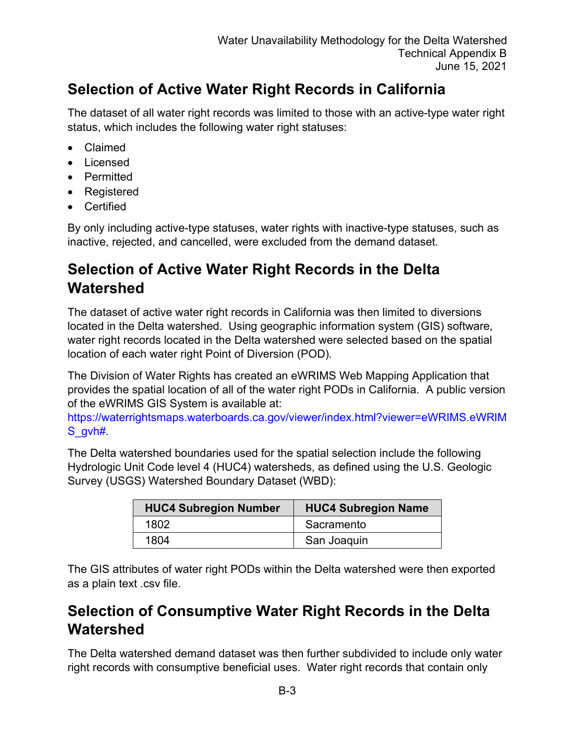## **Selection of Active Water Right Records in California**

The dataset of all water right records was limited to those with an active-type water right status, which includes the following water right statuses:

- · Claimed
- · Licensed
- · Permitted
- · Registered
- · Certified

By only including active-type statuses, water rights with inactive-type statuses, such as inactive, rejected, and cancelled, were excluded from the demand dataset.

#### **Selection of Active Water Right Records in the Delta Watershed**

The dataset of active water right records in California was then limited to diversions located in the Delta watershed. Using geographic information system (GIS) software, water right records located in the Delta watershed were selected based on the spatial location of each water right Point of Diversion (POD).

The Division of Water Rights has created an eWRIMS Web Mapping Application that provides the spatial location of all of the water right PODs in California. A public version of the eWRIMS GIS System is available at:

[https://waterrightsmaps.waterboards.ca.gov/viewer/index.html?viewer=eWRIMS.eWRIM](https://waterrightsmaps.waterboards.ca.gov/viewer/index.html?viewer=eWRIMS.eWRIMS_gvh) [S\\_gvh#.](https://waterrightsmaps.waterboards.ca.gov/viewer/index.html?viewer=eWRIMS.eWRIMS_gvh)

The Delta watershed boundaries used for the spatial selection include the following Hydrologic Unit Code level 4 (HUC4) watersheds, as defined using the U.S. Geologic Survey (USGS) Watershed Boundary Dataset (WBD):

| <b>HUC4 Subregion Number</b> | <b>HUC4 Subregion Name</b> |
|------------------------------|----------------------------|
| 1802                         | Sacramento                 |
| 1804                         | San Joaquin                |

The GIS attributes of water right PODs within the Delta watershed were then exported as a plain text .csv file.

### **Selection of Consumptive Water Right Records in the Delta Watershed**

The Delta watershed demand dataset was then further subdivided to include only water right records with consumptive beneficial uses. Water right records that contain only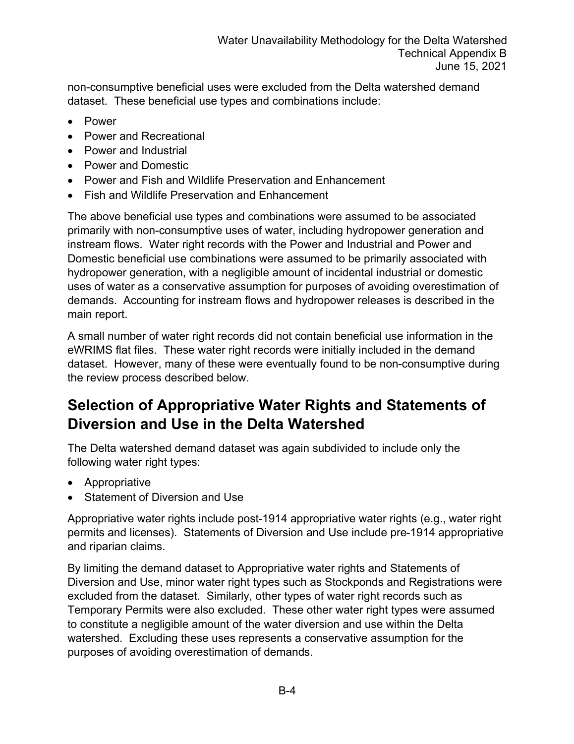non-consumptive beneficial uses were excluded from the Delta watershed demand dataset. These beneficial use types and combinations include:

- · Power
- Power and Recreational
- · Power and Industrial
- · Power and Domestic
- · Power and Fish and Wildlife Preservation and Enhancement
- · Fish and Wildlife Preservation and Enhancement

The above beneficial use types and combinations were assumed to be associated primarily with non-consumptive uses of water, including hydropower generation and instream flows. Water right records with the Power and Industrial and Power and Domestic beneficial use combinations were assumed to be primarily associated with hydropower generation, with a negligible amount of incidental industrial or domestic uses of water as a conservative assumption for purposes of avoiding overestimation of demands. Accounting for instream flows and hydropower releases is described in the main report.

A small number of water right records did not contain beneficial use information in the eWRIMS flat files. These water right records were initially included in the demand dataset. However, many of these were eventually found to be non-consumptive during the review process described below.

## **Selection of Appropriative Water Rights and Statements of Diversion and Use in the Delta Watershed**

The Delta watershed demand dataset was again subdivided to include only the following water right types:

- · Appropriative
- Statement of Diversion and Use

Appropriative water rights include post-1914 appropriative water rights (e.g., water right permits and licenses). Statements of Diversion and Use include pre-1914 appropriative and riparian claims.

By limiting the demand dataset to Appropriative water rights and Statements of Diversion and Use, minor water right types such as Stockponds and Registrations were excluded from the dataset. Similarly, other types of water right records such as Temporary Permits were also excluded. These other water right types were assumed to constitute a negligible amount of the water diversion and use within the Delta watershed. Excluding these uses represents a conservative assumption for the purposes of avoiding overestimation of demands.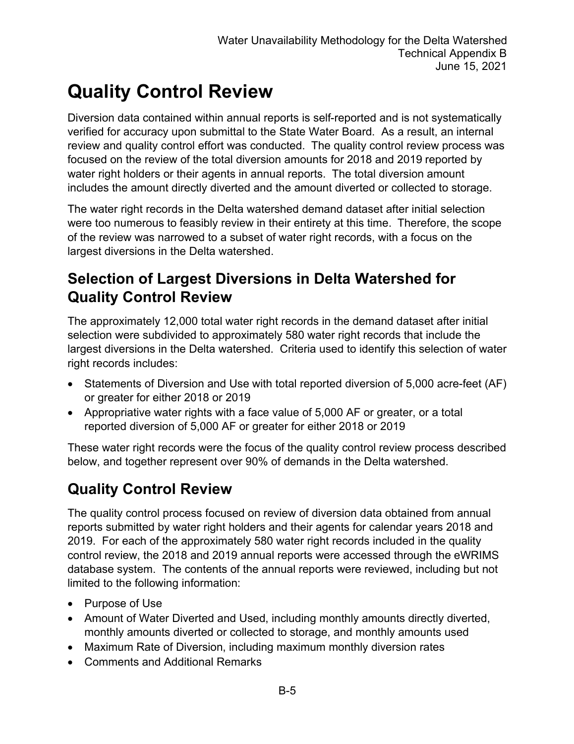## **Quality Control Review**

Diversion data contained within annual reports is self-reported and is not systematically verified for accuracy upon submittal to the State Water Board. As a result, an internal review and quality control effort was conducted. The quality control review process was focused on the review of the total diversion amounts for 2018 and 2019 reported by water right holders or their agents in annual reports. The total diversion amount includes the amount directly diverted and the amount diverted or collected to storage.

The water right records in the Delta watershed demand dataset after initial selection were too numerous to feasibly review in their entirety at this time. Therefore, the scope of the review was narrowed to a subset of water right records, with a focus on the largest diversions in the Delta watershed.

### **Selection of Largest Diversions in Delta Watershed for Quality Control Review**

The approximately 12,000 total water right records in the demand dataset after initial selection were subdivided to approximately 580 water right records that include the largest diversions in the Delta watershed. Criteria used to identify this selection of water right records includes:

- Statements of Diversion and Use with total reported diversion of 5,000 acre-feet (AF) or greater for either 2018 or 2019
- · Appropriative water rights with a face value of 5,000 AF or greater, or a total reported diversion of 5,000 AF or greater for either 2018 or 2019

These water right records were the focus of the quality control review process described below, and together represent over 90% of demands in the Delta watershed.

## **Quality Control Review**

The quality control process focused on review of diversion data obtained from annual reports submitted by water right holders and their agents for calendar years 2018 and 2019. For each of the approximately 580 water right records included in the quality control review, the 2018 and 2019 annual reports were accessed through the eWRIMS database system. The contents of the annual reports were reviewed, including but not limited to the following information:

- · Purpose of Use
- · Amount of Water Diverted and Used, including monthly amounts directly diverted, monthly amounts diverted or collected to storage, and monthly amounts used
- · Maximum Rate of Diversion, including maximum monthly diversion rates
- · Comments and Additional Remarks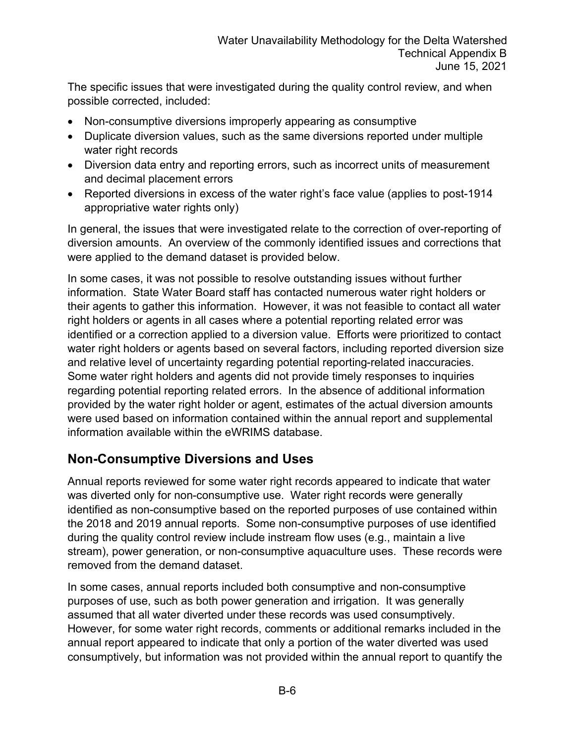The specific issues that were investigated during the quality control review, and when possible corrected, included:

- · Non-consumptive diversions improperly appearing as consumptive
- · Duplicate diversion values, such as the same diversions reported under multiple water right records
- · Diversion data entry and reporting errors, such as incorrect units of measurement and decimal placement errors
- Reported diversions in excess of the water right's face value (applies to post-1914 appropriative water rights only)

In general, the issues that were investigated relate to the correction of over-reporting of diversion amounts. An overview of the commonly identified issues and corrections that were applied to the demand dataset is provided below.

In some cases, it was not possible to resolve outstanding issues without further information. State Water Board staff has contacted numerous water right holders or their agents to gather this information. However, it was not feasible to contact all water right holders or agents in all cases where a potential reporting related error was identified or a correction applied to a diversion value. Efforts were prioritized to contact water right holders or agents based on several factors, including reported diversion size and relative level of uncertainty regarding potential reporting-related inaccuracies. Some water right holders and agents did not provide timely responses to inquiries regarding potential reporting related errors. In the absence of additional information provided by the water right holder or agent, estimates of the actual diversion amounts were used based on information contained within the annual report and supplemental information available within the eWRIMS database.

#### **Non-Consumptive Diversions and Uses**

Annual reports reviewed for some water right records appeared to indicate that water was diverted only for non-consumptive use. Water right records were generally identified as non-consumptive based on the reported purposes of use contained within the 2018 and 2019 annual reports. Some non-consumptive purposes of use identified during the quality control review include instream flow uses (e.g., maintain a live stream), power generation, or non-consumptive aquaculture uses. These records were removed from the demand dataset.

In some cases, annual reports included both consumptive and non-consumptive purposes of use, such as both power generation and irrigation. It was generally assumed that all water diverted under these records was used consumptively. However, for some water right records, comments or additional remarks included in the annual report appeared to indicate that only a portion of the water diverted was used consumptively, but information was not provided within the annual report to quantify the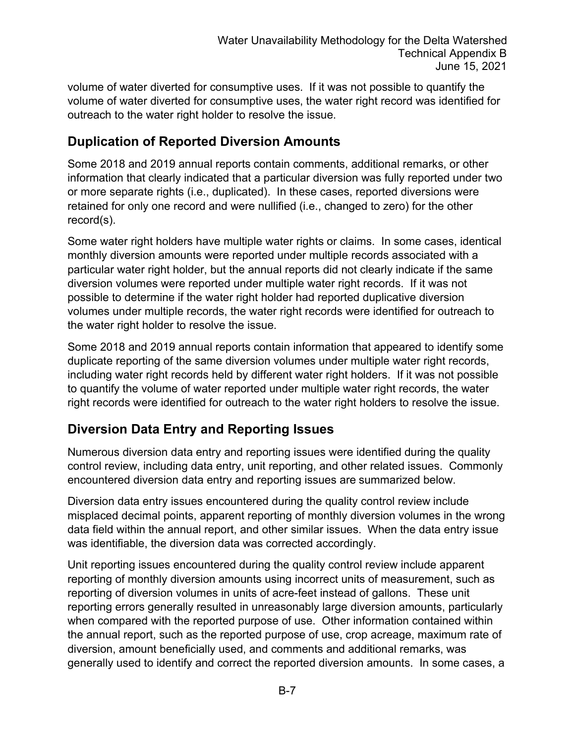volume of water diverted for consumptive uses. If it was not possible to quantify the volume of water diverted for consumptive uses, the water right record was identified for outreach to the water right holder to resolve the issue.

#### **Duplication of Reported Diversion Amounts**

Some 2018 and 2019 annual reports contain comments, additional remarks, or other information that clearly indicated that a particular diversion was fully reported under two or more separate rights (i.e., duplicated). In these cases, reported diversions were retained for only one record and were nullified (i.e., changed to zero) for the other record(s).

Some water right holders have multiple water rights or claims. In some cases, identical monthly diversion amounts were reported under multiple records associated with a particular water right holder, but the annual reports did not clearly indicate if the same diversion volumes were reported under multiple water right records. If it was not possible to determine if the water right holder had reported duplicative diversion volumes under multiple records, the water right records were identified for outreach to the water right holder to resolve the issue.

Some 2018 and 2019 annual reports contain information that appeared to identify some duplicate reporting of the same diversion volumes under multiple water right records, including water right records held by different water right holders. If it was not possible to quantify the volume of water reported under multiple water right records, the water right records were identified for outreach to the water right holders to resolve the issue.

#### **Diversion Data Entry and Reporting Issues**

Numerous diversion data entry and reporting issues were identified during the quality control review, including data entry, unit reporting, and other related issues. Commonly encountered diversion data entry and reporting issues are summarized below.

Diversion data entry issues encountered during the quality control review include misplaced decimal points, apparent reporting of monthly diversion volumes in the wrong data field within the annual report, and other similar issues. When the data entry issue was identifiable, the diversion data was corrected accordingly.

Unit reporting issues encountered during the quality control review include apparent reporting of monthly diversion amounts using incorrect units of measurement, such as reporting of diversion volumes in units of acre-feet instead of gallons. These unit reporting errors generally resulted in unreasonably large diversion amounts, particularly when compared with the reported purpose of use. Other information contained within the annual report, such as the reported purpose of use, crop acreage, maximum rate of diversion, amount beneficially used, and comments and additional remarks, was generally used to identify and correct the reported diversion amounts. In some cases, a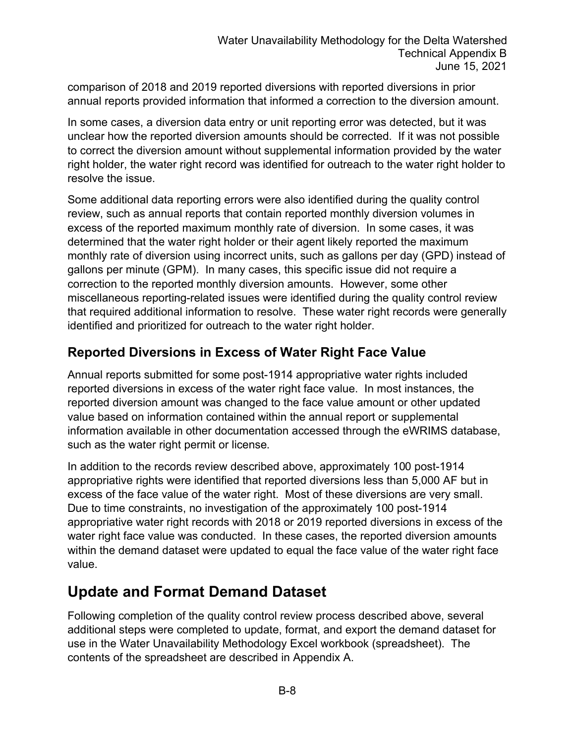comparison of 2018 and 2019 reported diversions with reported diversions in prior annual reports provided information that informed a correction to the diversion amount.

In some cases, a diversion data entry or unit reporting error was detected, but it was unclear how the reported diversion amounts should be corrected. If it was not possible to correct the diversion amount without supplemental information provided by the water right holder, the water right record was identified for outreach to the water right holder to resolve the issue.

Some additional data reporting errors were also identified during the quality control review, such as annual reports that contain reported monthly diversion volumes in excess of the reported maximum monthly rate of diversion. In some cases, it was determined that the water right holder or their agent likely reported the maximum monthly rate of diversion using incorrect units, such as gallons per day (GPD) instead of gallons per minute (GPM). In many cases, this specific issue did not require a correction to the reported monthly diversion amounts. However, some other miscellaneous reporting-related issues were identified during the quality control review that required additional information to resolve. These water right records were generally identified and prioritized for outreach to the water right holder.

#### **Reported Diversions in Excess of Water Right Face Value**

Annual reports submitted for some post-1914 appropriative water rights included reported diversions in excess of the water right face value. In most instances, the reported diversion amount was changed to the face value amount or other updated value based on information contained within the annual report or supplemental information available in other documentation accessed through the eWRIMS database, such as the water right permit or license.

In addition to the records review described above, approximately 100 post-1914 appropriative rights were identified that reported diversions less than 5,000 AF but in excess of the face value of the water right. Most of these diversions are very small. Due to time constraints, no investigation of the approximately 100 post-1914 appropriative water right records with 2018 or 2019 reported diversions in excess of the water right face value was conducted. In these cases, the reported diversion amounts within the demand dataset were updated to equal the face value of the water right face value.

#### **Update and Format Demand Dataset**

Following completion of the quality control review process described above, several additional steps were completed to update, format, and export the demand dataset for use in the Water Unavailability Methodology Excel workbook (spreadsheet). The contents of the spreadsheet are described in Appendix A.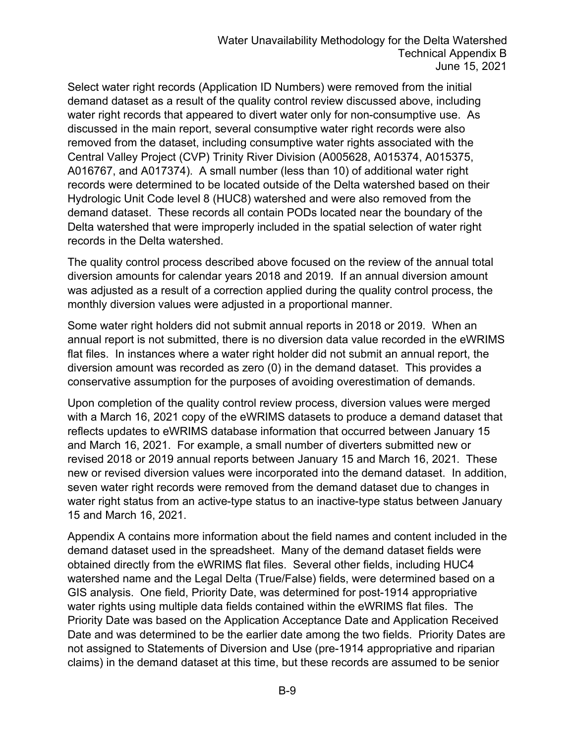Select water right records (Application ID Numbers) were removed from the initial demand dataset as a result of the quality control review discussed above, including water right records that appeared to divert water only for non-consumptive use. As discussed in the main report, several consumptive water right records were also removed from the dataset, including consumptive water rights associated with the Central Valley Project (CVP) Trinity River Division (A005628, A015374, A015375, A016767, and A017374). A small number (less than 10) of additional water right records were determined to be located outside of the Delta watershed based on their Hydrologic Unit Code level 8 (HUC8) watershed and were also removed from the demand dataset. These records all contain PODs located near the boundary of the Delta watershed that were improperly included in the spatial selection of water right records in the Delta watershed.

The quality control process described above focused on the review of the annual total diversion amounts for calendar years 2018 and 2019. If an annual diversion amount was adjusted as a result of a correction applied during the quality control process, the monthly diversion values were adjusted in a proportional manner.

Some water right holders did not submit annual reports in 2018 or 2019. When an annual report is not submitted, there is no diversion data value recorded in the eWRIMS flat files. In instances where a water right holder did not submit an annual report, the diversion amount was recorded as zero (0) in the demand dataset. This provides a conservative assumption for the purposes of avoiding overestimation of demands.

Upon completion of the quality control review process, diversion values were merged with a March 16, 2021 copy of the eWRIMS datasets to produce a demand dataset that reflects updates to eWRIMS database information that occurred between January 15 and March 16, 2021. For example, a small number of diverters submitted new or revised 2018 or 2019 annual reports between January 15 and March 16, 2021. These new or revised diversion values were incorporated into the demand dataset. In addition, seven water right records were removed from the demand dataset due to changes in water right status from an active-type status to an inactive-type status between January 15 and March 16, 2021.

Appendix A contains more information about the field names and content included in the demand dataset used in the spreadsheet. Many of the demand dataset fields were obtained directly from the eWRIMS flat files. Several other fields, including HUC4 watershed name and the Legal Delta (True/False) fields, were determined based on a GIS analysis. One field, Priority Date, was determined for post-1914 appropriative water rights using multiple data fields contained within the eWRIMS flat files. The Priority Date was based on the Application Acceptance Date and Application Received Date and was determined to be the earlier date among the two fields. Priority Dates are not assigned to Statements of Diversion and Use (pre-1914 appropriative and riparian claims) in the demand dataset at this time, but these records are assumed to be senior